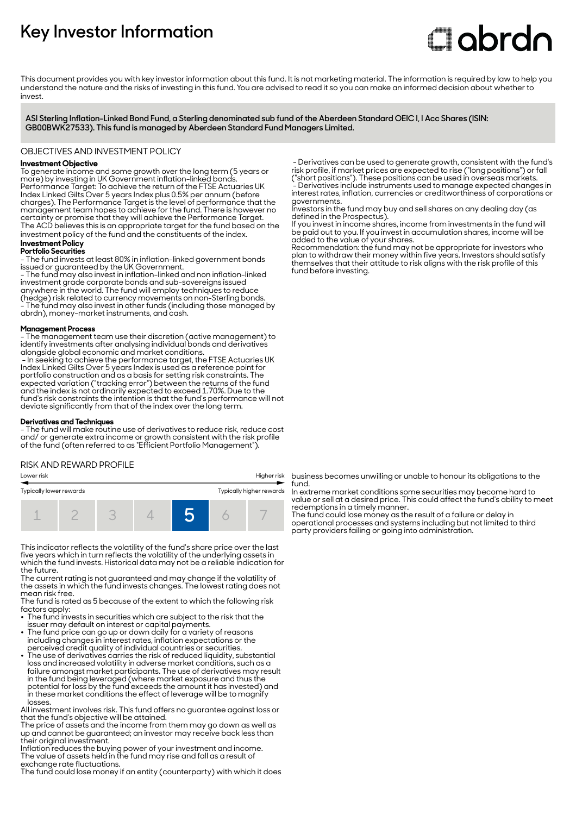# **Key Investor Information**

# **Clobrdn**

This document provides you with key investor information about this fund. It is not marketing material. The information is required by law to help you understand the nature and the risks of investing in this fund. You are advised to read it so you can make an informed decision about whether to invest

**ASI Sterling Inflation-Linked Bond Fund, a Sterling denominated sub fund of the Aberdeen Standard OEIC I, I Acc Shares (ISIN: GB00BWK27533). This fund is managed by Aberdeen Standard Fund Managers Limited.**

#### OBJECTIVES AND INVESTMENT POLICY

# **Investment Objective**

To generate income and some growth over the long term (5 years or more) by investing in UK Government inflation-linked bonds. Performance Target: To achieve the return of the FTSE Actuaries UK Index Linked Gilts Over 5 years Index plus 0.5% per annum (before charges). The Performance Target is the level of performance that the management team hopes to achieve for the fund. There is however no certainty or promise that they will achieve the Performance Target. The ACD believes this is an appropriate target for the fund based on the investment policy of the fund and the constituents of the index.

#### **Investment Policy Portfolio Securities**

- The fund invests at least 80% in inflation-linked government bonds issued or guaranteed by the UK Government. - The fund may also invest in inflation-linked and non inflation-linked investment grade corporate bonds and sub-sovereigns issued anywhere in the world. The fund will employ techniques to reduce (hedge) risk related to currency movements on non-Sterling bonds. - The fund may also invest in other funds (including those managed by abrdn), money-market instruments, and cash.

#### **Management Process**

- The management team use their discretion (active management) to identify investments after analysing individual bonds and derivatives alongside global economic and market conditions.

 - In seeking to achieve the performance target, the FTSE Actuaries UK Index Linked Gilts Over 5 years Index is used as a reference point for portfolio construction and as a basis for setting risk constraints. The expected variation ("tracking error") between the returns of the fund and the index is not ordinarily expected to exceed 1.70%. Due to the fund's risk constraints the intention is that the fund's performance will not deviate significantly from that of the index over the long term.

#### **Derivatives and Techniques**

- The fund will make routine use of derivatives to reduce risk, reduce cost and/ or generate extra income or growth consistent with the risk profile of the fund (often referred to as "Efficient Portfolio Management").

#### RISK AND REWARD PROFILE

| Higher risk<br>Lower risk |  |  |  |  |                          |  |  |  |
|---------------------------|--|--|--|--|--------------------------|--|--|--|
| Typically lower rewards   |  |  |  |  | Typically higher rewards |  |  |  |
|                           |  |  |  |  |                          |  |  |  |

This indicator reflects the volatility of the fund's share price over the last five years which in turn reflects the volatility of the underlying assets in which the fund invests. Historical data may not be a reliable indication for the future.

The current rating is not guaranteed and may change if the volatility of the assets in which the fund invests changes. The lowest rating does not mean risk free.

The fund is rated as 5 because of the extent to which the following risk factors apply:

- The fund invests in securities which are subject to the risk that the issuer may default on interest or capital payments. 2 The fund price can go up or down daily for a variety of reasons
- including changes in interest rates, inflation expectations or the
- perceived credit quality of individual countries or securities. 2 The use of derivatives carries the risk of reduced liquidity, substantial loss and increased volatility in adverse market conditions, such as a failure amongst market participants. The use of derivatives may result in the fund being leveraged (where market exposure and thus the potential for loss by the fund exceeds the amount it has invested) and in these market conditions the effect of leverage will be to magnify losses.

All investment involves risk. This fund offers no guarantee against loss or that the fund's objective will be attained.

The price of assets and the income from them may go down as well as up and cannot be guaranteed; an investor may receive back less than their original investment.

Inflation reduces the buying power of your investment and income. The value of assets held in the fund may rise and fall as a result of exchange rate fluctuations.

The fund could lose money if an entity (counterparty) with which it does

 - Derivatives can be used to generate growth, consistent with the fund's risk profile, if market prices are expected to rise ("long positions") or fall ("short positions"). These positions can be used in overseas markets. - Derivatives include instruments used to manage expected changes in interest rates, inflation, currencies or creditworthiness of corporations or governments.

Investors in the fund may buy and sell shares on any dealing day (as defined in the Prospectus).

If you invest in income shares, income from investments in the fund will be paid out to you. If you invest in accumulation shares, income will be added to the value of your shares.

Recommendation: the fund may not be appropriate for investors who plan to withdraw their money within five years. Investors should satisfy themselves that their attitude to risk aligns with the risk profile of this fund before investing.

business becomes unwilling or unable to honour its obligations to the fund.

In extreme market conditions some securities may become hard to value or sell at a desired price. This could affect the fund's ability to meet redemptions in a timely manner.

The fund could lose money as the result of a failure or delay in operational processes and systems including but not limited to third party providers failing or going into administration.